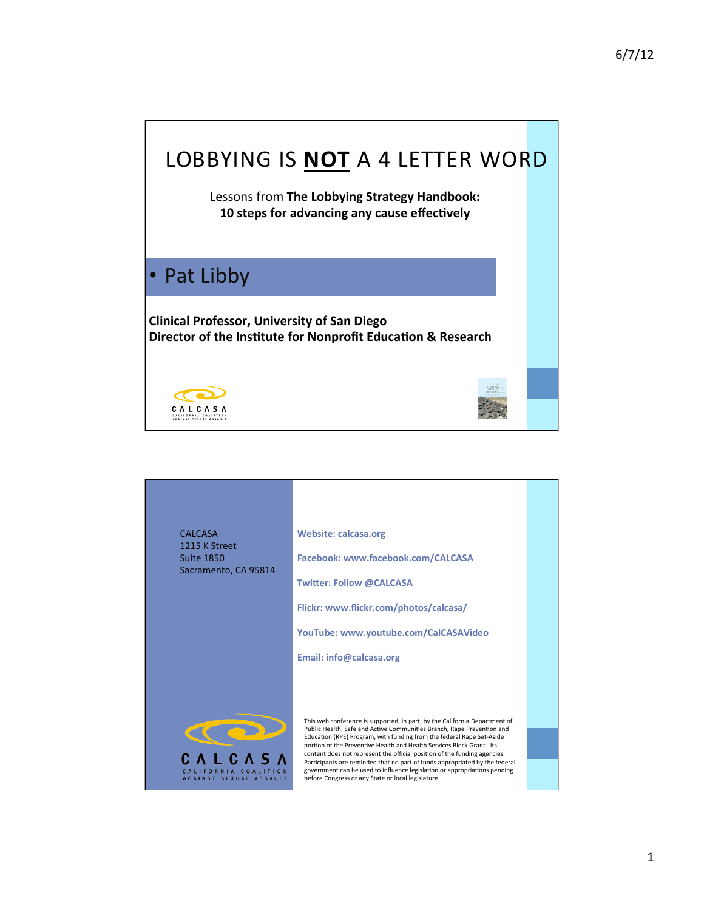# LOBBYING IS **NOT** A 4 LETTER WORD

Lessons from The Lobbying Strategy Handbook: 10 steps for advancing any cause effectively

#### • Pat Libby

**Clinical'Professor,'University'of'San'Diego' Director of the Institute for Nonprofit Education & Research** 



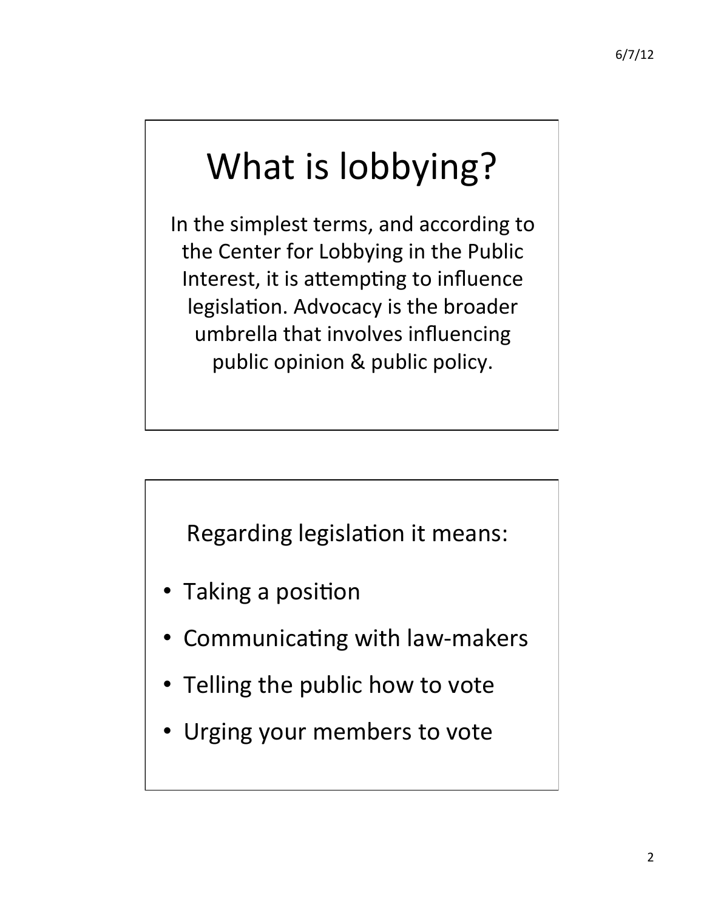# What is lobbying?

In the simplest terms, and according to the Center for Lobbying in the Public Interest, it is attempting to influence legislation. Advocacy is the broader umbrella that involves influencing public opinion & public policy.

Regarding legislation it means:

- Taking a position
- Communicating with law-makers
- Telling the public how to vote
- Urging your members to vote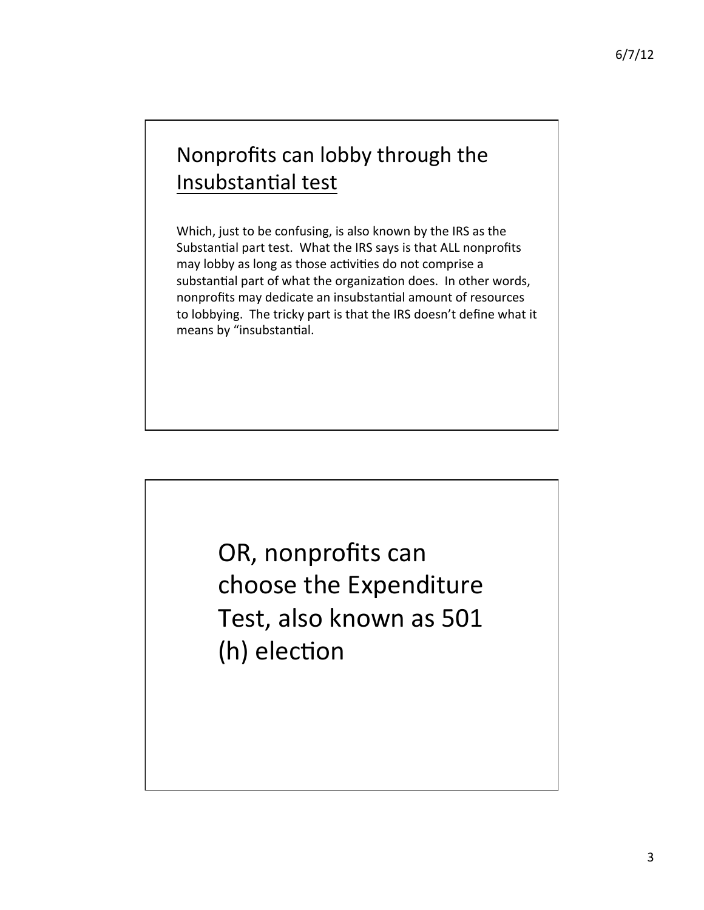## Nonprofits can lobby through the Insubstantial test

Which, just to be confusing, is also known by the IRS as the Substantial part test. What the IRS says is that ALL nonprofits may lobby as long as those activities do not comprise a substantial part of what the organization does. In other words, nonprofits may dedicate an insubstantial amount of resources to lobbying. The tricky part is that the IRS doesn't define what it means by "insubstantial.

> OR, nonprofits can choose the Expenditure Test, also known as 501 (h) election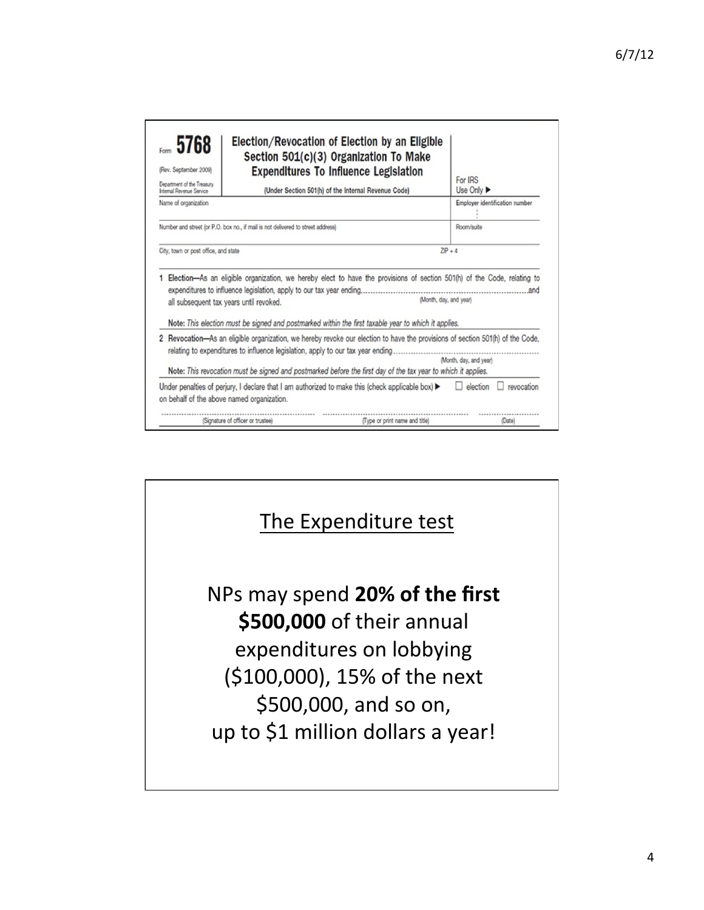| Form 5768<br>(Rev. September 2009)<br>Department of the Treasury<br>Internal Revenue Service | Election/Revocation of Election by an Eligible<br>Section 501(c)(3) Organization To Make<br><b>Expenditures To Influence Legislation</b><br>(Under Section 501(h) of the Internal Revenue Code)                                                                            |                        | For IRS<br>Use Only $\blacktriangleright$ |
|----------------------------------------------------------------------------------------------|----------------------------------------------------------------------------------------------------------------------------------------------------------------------------------------------------------------------------------------------------------------------------|------------------------|-------------------------------------------|
| Name of organization                                                                         |                                                                                                                                                                                                                                                                            |                        | Employer identification number            |
|                                                                                              | Number and street (or P.O. box no., if mail is not delivered to street address)                                                                                                                                                                                            |                        | Room/suite                                |
| City, town or post office, and state                                                         |                                                                                                                                                                                                                                                                            |                        | $ZP + 4$                                  |
|                                                                                              | Election—As an eligible organization, we hereby elect to have the provisions of section 501(h) of the Code, relating to<br>all subsequent tax years until revoked.<br>Note: This election must be signed and postmarked within the first taxable year to which it applies. | (Month, day, and year) | and                                       |
|                                                                                              | Revocation—As an eligible organization, we hereby revoke our election to have the provisions of section 501(h) of the Code,<br>relating to expenditures to influence legislation, apply to our tax year ending                                                             |                        | (Month, day, and year)                    |
|                                                                                              | Note: This revocation must be signed and postmarked before the first day of the tax year to which it applies.<br>Under penalties of perjury, I declare that I am authorized to make this (check applicable box) $\blacktriangleright$                                      |                        | revocation<br>election                    |
|                                                                                              | on behalf of the above named organization.                                                                                                                                                                                                                                 |                        |                                           |
|                                                                                              |                                                                                                                                                                                                                                                                            |                        |                                           |

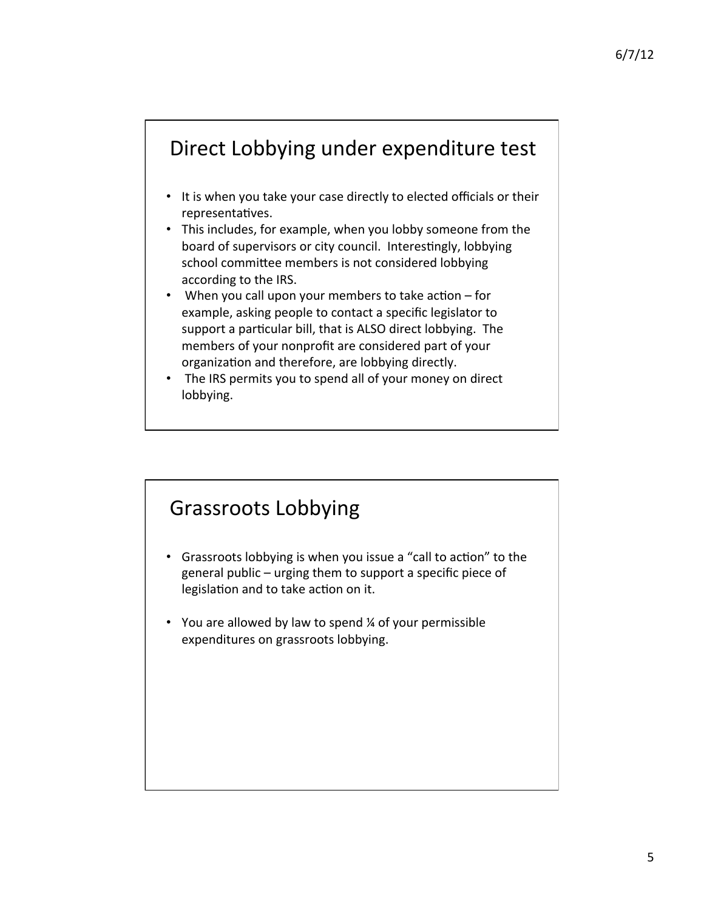### Direct Lobbying under expenditure test

- It is when you take your case directly to elected officials or their representatives.
- This includes, for example, when you lobby someone from the board of supervisors or city council. Interestingly, lobbying school committee members is not considered lobbying according to the IRS.
- When you call upon your members to take action for example, asking people to contact a specific legislator to support a particular bill, that is ALSO direct lobbying. The members of your nonprofit are considered part of your organization and therefore, are lobbying directly.
- The IRS permits you to spend all of your money on direct lobbying.

#### Grassroots Lobbying

- Grassroots lobbying is when you issue a "call to action" to the general public – urging them to support a specific piece of legislation and to take action on it.
- You are allowed by law to spend  $\frac{1}{4}$  of your permissible expenditures on grassroots lobbying.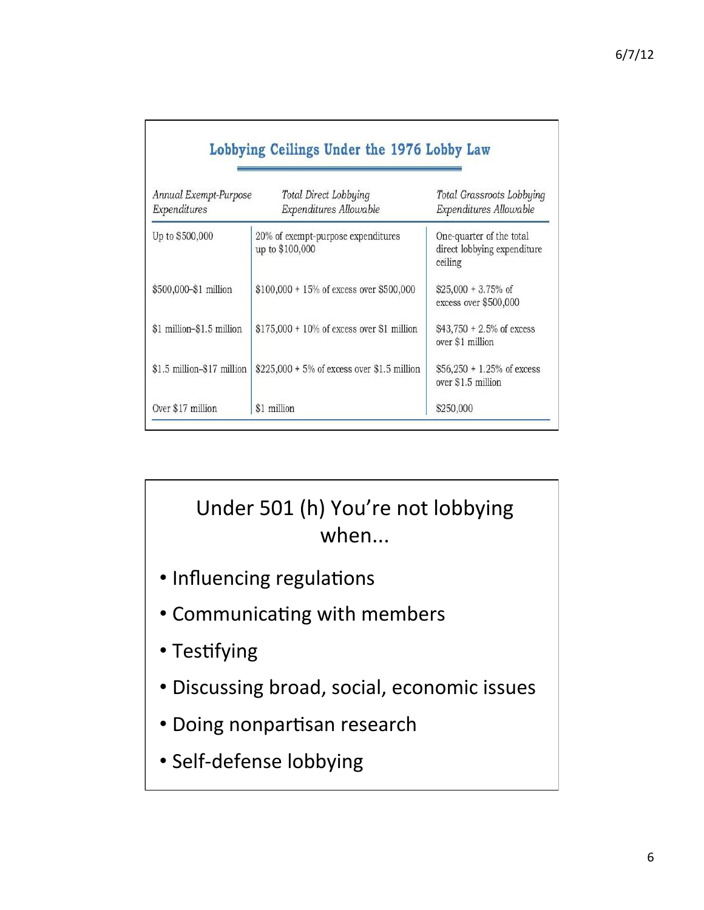| Annual Exempt-Purpose<br>Expenditures | Total Direct Lobbying<br>Expenditures Allowable       | Total Grassroots Lobbying<br>Expenditures Allowable                |
|---------------------------------------|-------------------------------------------------------|--------------------------------------------------------------------|
| Up to \$500,000                       | 20% of exempt-purpose expenditures<br>up to \$100,000 | One-quarter of the total<br>direct lobbying expenditure<br>ceiling |
| \$500,000-\$1 million                 | $$100,000 + 15\%$ of excess over \$500,000            | $$25,000 + 3.75\%$ of<br>excess over \$500,000                     |
| \$1 million-\$1.5 million             | $$175,000 + 10\%$ of excess over \$1 million          | $$43,750 + 2.5\%$ of excess<br>over \$1 million                    |
| \$1.5 million-\$17 million            | $$225,000 + 5\%$ of excess over \$1.5 million         | $$56,250 + 1.25\%$ of excess<br>over \$1.5 million                 |
| Over \$17 million                     | \$1 million                                           | \$250,000                                                          |

# Under 501 (h) You're not lobbying when...

- · Influencing regulations
- Communicating with members
- Testifying
- · Discussing broad, social, economic issues
- · Doing nonpartisan research
- · Self-defense lobbying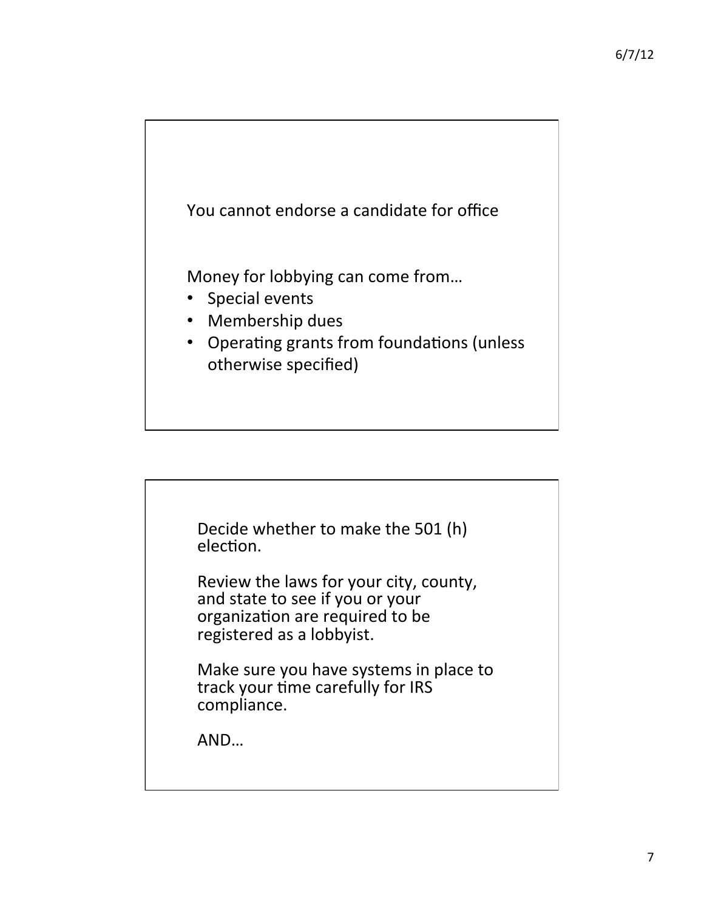